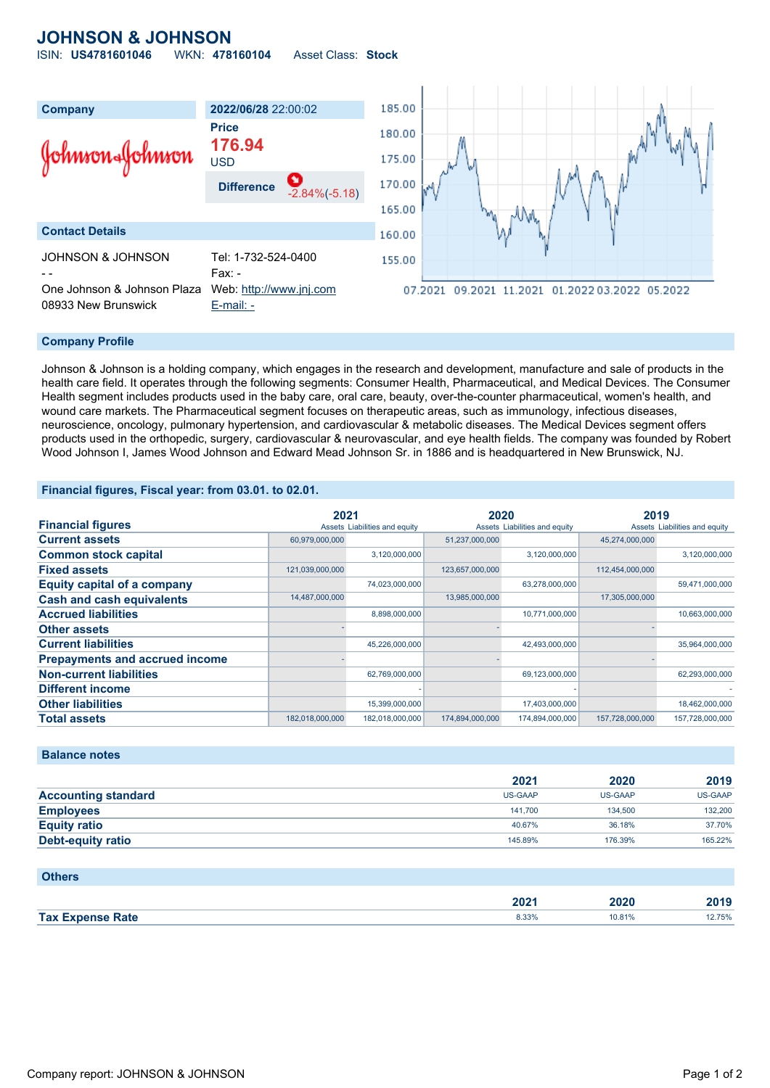## **JOHNSON & JOHNSON** ISIN: **US4781601046** WKN: **478160104** Asset Class: **Stock**

08933 New Brunswick [E-mail: -](mailto:-)

**Company 2022/06/28** 22:00:02 185.00 **Price** 180.00 **176.94** Johnson«Johnson USD 175.00 170.00 **Difference** -2.84%(-5.18) 165.00 **Contact Details** 160.00 JOHNSON & JOHNSON Tel: 1-732-524-0400 155.00 Fax: -One Johnson & Johnson Plaza Web: [http://www.jnj.com](http://www.jnj.com/) 07.2021 09.2021 11.2021 01.2022 03.2022 05.2022

## **Company Profile**

Johnson & Johnson is a holding company, which engages in the research and development, manufacture and sale of products in the health care field. It operates through the following segments: Consumer Health, Pharmaceutical, and Medical Devices. The Consumer Health segment includes products used in the baby care, oral care, beauty, over-the-counter pharmaceutical, women's health, and wound care markets. The Pharmaceutical segment focuses on therapeutic areas, such as immunology, infectious diseases, neuroscience, oncology, pulmonary hypertension, and cardiovascular & metabolic diseases. The Medical Devices segment offers products used in the orthopedic, surgery, cardiovascular & neurovascular, and eye health fields. The company was founded by Robert Wood Johnson I, James Wood Johnson and Edward Mead Johnson Sr. in 1886 and is headquartered in New Brunswick, NJ.

## **Financial figures, Fiscal year: from 03.01. to 02.01.**

|                                       | 2021            |                               | 2020            |                               | 2019            |                               |
|---------------------------------------|-----------------|-------------------------------|-----------------|-------------------------------|-----------------|-------------------------------|
| <b>Financial figures</b>              |                 | Assets Liabilities and equity |                 | Assets Liabilities and equity |                 | Assets Liabilities and equity |
| <b>Current assets</b>                 | 60,979,000,000  |                               | 51,237,000,000  |                               | 45,274,000,000  |                               |
| <b>Common stock capital</b>           |                 | 3,120,000,000                 |                 | 3,120,000,000                 |                 | 3,120,000,000                 |
| <b>Fixed assets</b>                   | 121,039,000,000 |                               | 123,657,000,000 |                               | 112,454,000,000 |                               |
| <b>Equity capital of a company</b>    |                 | 74,023,000,000                |                 | 63,278,000,000                |                 | 59,471,000,000                |
| <b>Cash and cash equivalents</b>      | 14,487,000,000  |                               | 13,985,000,000  |                               | 17,305,000,000  |                               |
| <b>Accrued liabilities</b>            |                 | 8,898,000,000                 |                 | 10,771,000,000                |                 | 10,663,000,000                |
| <b>Other assets</b>                   |                 |                               |                 |                               |                 |                               |
| <b>Current liabilities</b>            |                 | 45,226,000,000                |                 | 42,493,000,000                |                 | 35,964,000,000                |
| <b>Prepayments and accrued income</b> |                 |                               |                 |                               |                 |                               |
| <b>Non-current liabilities</b>        |                 | 62,769,000,000                |                 | 69,123,000,000                |                 | 62,293,000,000                |
| Different income                      |                 |                               |                 |                               |                 |                               |
| <b>Other liabilities</b>              |                 | 15,399,000,000                |                 | 17,403,000,000                |                 | 18,462,000,000                |
| <b>Total assets</b>                   | 182,018,000,000 | 182,018,000,000               | 174,894,000,000 | 174,894,000,000               | 157,728,000,000 | 157,728,000,000               |

### **Balance notes**

|                            | 2021    | 2020           | 2019           |
|----------------------------|---------|----------------|----------------|
| <b>Accounting standard</b> | US-GAAP | <b>US-GAAP</b> | <b>US-GAAP</b> |
| <b>Employees</b>           | 141.700 | 134,500        | 132.200        |
| <b>Equity ratio</b>        | 40.67%  | 36.18%         | 37.70%         |
| Debt-equity ratio          | 145.89% | 176.39%        | 165.22%        |

| <b>Others</b>           |                  |        |        |
|-------------------------|------------------|--------|--------|
|                         | 202 <sub>1</sub> | 2020   | 2019   |
| <b>Tax Expense Rate</b> | 8.33%            | 10.81% | 12.75% |